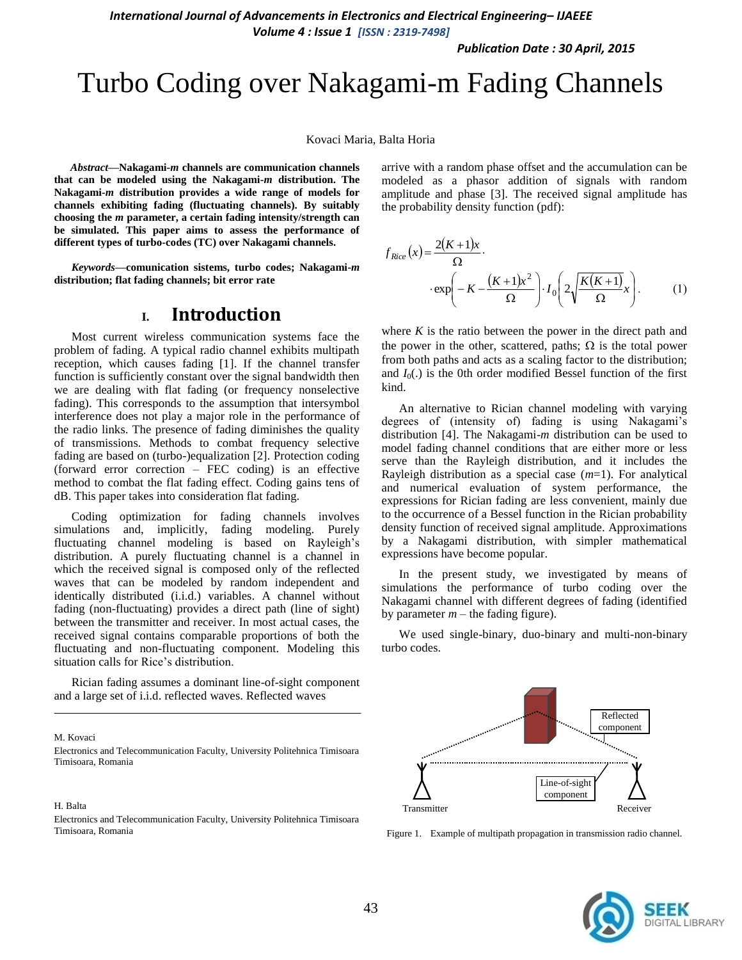*International Journal of Advancements in Electronics and Electrical Engineering– IJAEEE Volume 4 : Issue 1 [ISSN : 2319-7498]* 

*Publication Date : 30 April, 2015*

# Turbo Coding over Nakagami-m Fading Channels

#### Kovaci Maria, Balta Horia

*Abstract***—Nakagami-***m* **channels are communication channels that can be modeled using the Nakagami-***m* **distribution. The Nakagami-***m* **distribution provides a wide range of models for channels exhibiting fading (fluctuating channels). By suitably choosing the** *m* **parameter, a certain fading intensity/strength can be simulated. This paper aims to assess the performance of different types of turbo-codes (TC) over Nakagami channels.** 

*Keywords—***comunication sistems, turbo codes; Nakagami-***m* **distribution; flat fading channels; bit error rate**

## **I. Introduction**

Most current wireless communication systems face the problem of fading. A typical radio channel exhibits multipath reception, which causes fading [1]. If the channel transfer function is sufficiently constant over the signal bandwidth then we are dealing with flat fading (or frequency nonselective fading). This corresponds to the assumption that intersymbol interference does not play a major role in the performance of the radio links. The presence of fading diminishes the quality of transmissions. Methods to combat frequency selective fading are based on (turbo-)equalization [2]. Protection coding (forward error correction – FEC coding) is an effective method to combat the flat fading effect. Coding gains tens of dB. This paper takes into consideration flat fading.

Coding optimization for fading channels involves simulations and, implicitly, fading modeling. Purely fluctuating channel modeling is based on Rayleigh's distribution. A purely fluctuating channel is a channel in which the received signal is composed only of the reflected waves that can be modeled by random independent and identically distributed (i.i.d.) variables. A channel without fading (non-fluctuating) provides a direct path (line of sight) between the transmitter and receiver. In most actual cases, the received signal contains comparable proportions of both the fluctuating and non-fluctuating component. Modeling this situation calls for Rice's distribution.

Rician fading assumes a dominant line-of-sight component and a large set of i.i.d. reflected waves. Reflected waves

M. Kovaci

H. Balta

Electronics and Telecommunication Faculty, University Politehnica Timisoara Timisoara, Romania

arrive with a random phase offset and the accumulation can be modeled as a phasor addition of signals with random amplitude and phase [3]. The received signal amplitude has the probability density function (pdf):

$$
f_{Rice}(x) = \frac{2(K+1)x}{\Omega} \cdot \exp\left(-K - \frac{(K+1)x^2}{\Omega}\right) \cdot I_0\left(2\sqrt{\frac{K(K+1)}{\Omega}x}\right). \tag{1}
$$

where *K* is the ratio between the power in the direct path and the power in the other, scattered, paths;  $\Omega$  is the total power from both paths and acts as a scaling factor to the distribution; and  $I_0(.)$  is the 0th order modified Bessel function of the first kind.

An alternative to Rician channel modeling with varying degrees of (intensity of) fading is using Nakagami's distribution [4]. The Nakagami-*m* distribution can be used to model fading channel conditions that are either more or less serve than the Rayleigh distribution, and it includes the Rayleigh distribution as a special case (*m*=1). For analytical and numerical evaluation of system performance, the expressions for Rician fading are less convenient, mainly due to the occurrence of a Bessel function in the Rician probability density function of received signal amplitude. Approximations by a Nakagami distribution, with simpler mathematical expressions have become popular.

In the present study, we investigated by means of simulations the performance of turbo coding over the Nakagami channel with different degrees of fading (identified by parameter  $m$  – the fading figure).

We used single-binary, duo-binary and multi-non-binary turbo codes.



Figure 1. Example of multipath propagation in transmission radio channel.



Electronics and Telecommunication Faculty, University Politehnica Timisoara Timisoara, Romania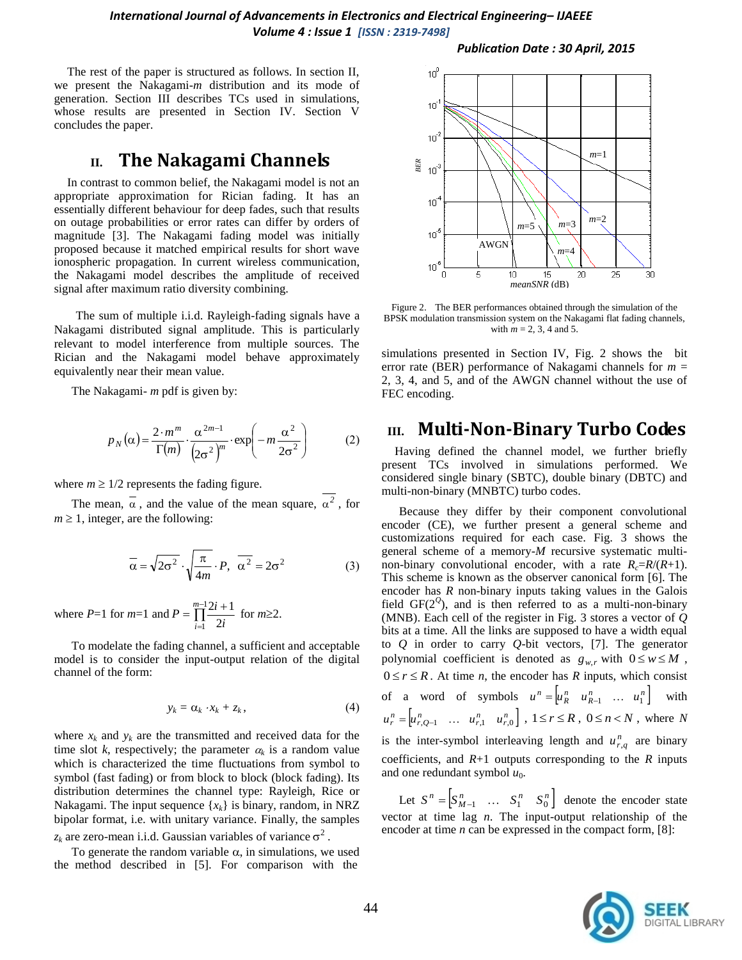The rest of the paper is structured as follows. In section II, we present the Nakagami-*m* distribution and its mode of generation. Section III describes TCs used in simulations, whose results are presented in Section IV. Section V concludes the paper.

## **II. The Nakagami Channels**

In contrast to common belief, the Nakagami model is not an appropriate approximation for Rician fading. It has an essentially different behaviour for deep fades, such that results on outage probabilities or error rates can differ by orders of magnitude [3]. The Nakagami fading model was initially proposed because it matched empirical results for short wave ionospheric propagation. In current wireless communication, the Nakagami model describes the amplitude of received signal after maximum ratio diversity combining.

The sum of multiple i.i.d. Rayleigh-fading signals have a Nakagami distributed signal amplitude. This is particularly relevant to model interference from multiple sources. The Rician and the Nakagami model behave approximately equivalently near their mean value.

The Nakagami- *m* pdf is given by:

$$
p_N(\alpha) = \frac{2 \cdot m^m}{\Gamma(m)} \cdot \frac{\alpha^{2m-1}}{\left(2\sigma^2\right)^m} \cdot \exp\left(-m\frac{\alpha^2}{2\sigma^2}\right) \tag{2}
$$

where  $m \geq 1/2$  represents the fading figure.

The mean,  $\alpha$ , and the value of the mean square,  $\alpha^2$ , for  $m \geq 1$ , integer, are the following:

$$
\overline{\alpha} = \sqrt{2\sigma^2} \cdot \sqrt{\frac{\pi}{4m}} \cdot P, \overline{\alpha^2} = 2\sigma^2
$$
 (3)

where *P*=1 for *m*=1 and *P* =  $\prod^{m-1}$  $=$  $=\prod_{i=1}^{m-1} \frac{2i+1}{2}$  $\frac{1}{1}$  2  $\frac{m-1}{n}2i + 1$  $\prod_{i=1}^{1}$  2*i*  $P = \prod_{i=1}^{m-1} \frac{2i+1}{n}$  for  $m \ge 2$ .

To modelate the fading channel, a sufficient and acceptable model is to consider the input-output relation of the digital channel of the form:

$$
y_k = \alpha_k \cdot x_k + z_k, \qquad (4)
$$

where  $x_k$  and  $y_k$  are the transmitted and received data for the time slot *k*, respectively; the parameter  $\alpha_k$  is a random value which is characterized the time fluctuations from symbol to symbol (fast fading) or from block to block (block fading). Its distribution determines the channel type: Rayleigh, Rice or Nakagami. The input sequence  $\{x_k\}$  is binary, random, in NRZ bipolar format, i.e. with unitary variance. Finally, the samples  $z_k$  are zero-mean i.i.d. Gaussian variables of variance  $\sigma^2$ .

To generate the random variable  $\alpha$ , in simulations, we used the method described in [5]. For comparison with the

#### *Publication Date : 30 April, 2015*



Figure 2. The BER performances obtained through the simulation of the BPSK modulation transmission system on the Nakagami flat fading channels, with  $m = 2, 3, 4$  and 5.

simulations presented in Section IV, Fig. 2 shows the bit error rate (BER) performance of Nakagami channels for  $m =$ 2, 3, 4, and 5, and of the AWGN channel without the use of FEC encoding.

## **III. Multi-Non-Binary Turbo Codes**

Having defined the channel model, we further briefly present TCs involved in simulations performed. We considered single binary (SBTC), double binary (DBTC) and multi-non-binary (MNBTC) turbo codes.

Because they differ by their component convolutional encoder (CE), we further present a general scheme and customizations required for each case. Fig. 3 shows the general scheme of a memory-*M* recursive systematic multinon-binary convolutional encoder, with a rate  $R_c=R/(R+1)$ . This scheme is known as the observer canonical form [6]. The encoder has *R* non-binary inputs taking values in the Galois field  $GF(2^{\mathcal{Q}})$ , and is then referred to as a multi-non-binary (MNB). Each cell of the register in Fig. 3 stores a vector of *Q* bits at a time. All the links are supposed to have a width equal to *Q* in order to carry *Q*-bit vectors, [7]. The generator polynomial coefficient is denoted as  $g_{w,r}$  with  $0 \le w \le M$ ,  $0 \le r \le R$ . At time *n*, the encoder has *R* inputs, which consist of a word of symbols  $u^n = \begin{bmatrix} u_n^n & u_{n-1}^n & \dots & u_1^n \end{bmatrix}$  with  $u_r^n = \begin{bmatrix} u_{r, Q-1}^n & \dots & u_{r, 1}^n & u_{r, 0}^n \end{bmatrix}$ ,  $1 \le r \le R$ ,  $0 \le n \le N$ , where *N* is the inter-symbol interleaving length and  $u_{r,q}^n$  are binary coefficients, and  $R+1$  outputs corresponding to the  $R$  inputs and one redundant symbol  $u_0$ .

Let  $S^n = \begin{bmatrix} S^n_{M-1} & \dots & S^n_1 & S^n_0 \end{bmatrix}$  denote the encoder state vector at time lag *n*. The input-output relationship of the encoder at time *n* can be expressed in the compact form, [8]:

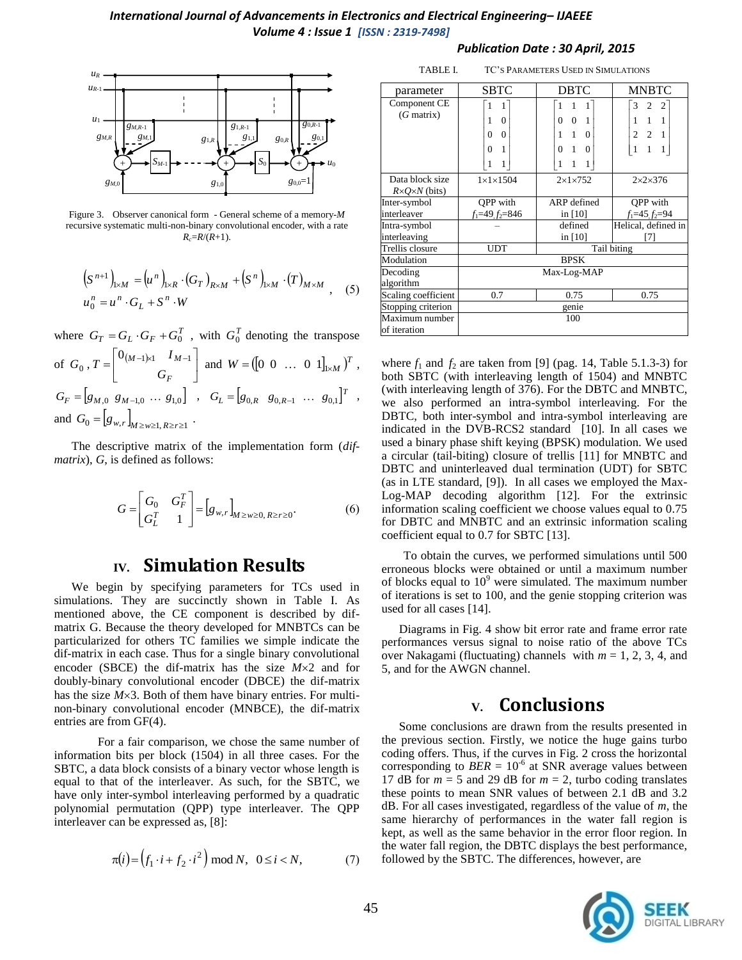

Figure 3. Observer canonical form - General scheme of a memory-*M* recursive systematic multi-non-binary convolutional encoder, with a rate  $R_c = R/(R+1)$ .

$$
(S^{n+1})_{1 \times M} = (u^n)_{1 \times R} \cdot (G_T)_{R \times M} + (S^n)_{1 \times M} \cdot (T)_{M \times M} ,
$$
 (5)  

$$
u_0^n = u^n \cdot G_L + S^n \cdot W
$$

where  $G_T = G_L \cdot G_F + G_0^T$ , with  $G_0^T$  denoting the transpose of  $G_0$ ,  $T = \begin{bmatrix} 0 & \frac{M-1}{M} & M-1 \\ 0 & \frac{M-1}{M} & M \end{bmatrix}$ J  $\overline{\phantom{a}}$  $\overline{\phantom{a}}$ L  $=\begin{vmatrix} 0_{(M-1)\times 1} & I_{M-1} \end{vmatrix}$ *F*  $(M-1) \times 1$  *M G I T*  $\left[\begin{array}{c} 0_{(M-1)\times 1} & I_{M-1} \\ 0 & \cdots & 0 \\ 0 & 0 & \cdots \end{array}\right]$  and  $W = \left[\begin{bmatrix} 0 & 0 & \cdots & 0 & 1 \end{bmatrix}_{1\times M} \right]^T$ ,  $G_F = [g_{M,0} \ g_{M-1,0} \ \dots \ g_{1,0}]$ ,  $G_L = [g_{0,R} \ g_{0,R-1} \ \dots \ g_{0,1}]^T$ , and  $G_0 = [g_{w,r}]_{M \ge w \ge 1, R \ge r \ge 1}$ .

The descriptive matrix of the implementation form (*difmatrix*), *G*, is defined as follows:

$$
G = \begin{bmatrix} G_0 & G_F^T \\ G_L^T & 1 \end{bmatrix} = [g_{w,r}]_{M \ge w \ge 0, R \ge r \ge 0}.
$$
 (6)

## **IV. Simulation Results**

We begin by specifying parameters for TCs used in simulations. They are succinctly shown in Table I. As mentioned above, the CE component is described by difmatrix G. Because the theory developed for MNBTCs can be particularized for others TC families we simple indicate the dif-matrix in each case. Thus for a single binary convolutional encoder (SBCE) the dif-matrix has the size  $M \times 2$  and for doubly-binary convolutional encoder (DBCE) the dif-matrix has the size  $M \times 3$ . Both of them have binary entries. For multinon-binary convolutional encoder (MNBCE), the dif-matrix entries are from GF(4).

For a fair comparison, we chose the same number of information bits per block (1504) in all three cases. For the SBTC, a data block consists of a binary vector whose length is equal to that of the interleaver. As such, for the SBTC, we have only inter-symbol interleaving performed by a quadratic polynomial permutation (QPP) type interleaver. The QPP interleaver can be expressed as, [8]:

$$
\pi(i) = (f_1 \cdot i + f_2 \cdot i^2) \mod N, \ \ 0 \le i < N,\tag{7}
$$

#### *Publication Date : 30 April, 2015*

| TABLE I.                                        | TC'S PARAMETERS USED IN SIMULATIONS                |                                                                                                                       |                                                                                          |
|-------------------------------------------------|----------------------------------------------------|-----------------------------------------------------------------------------------------------------------------------|------------------------------------------------------------------------------------------|
| parameter                                       | <b>SBTC</b>                                        | <b>DBTC</b>                                                                                                           | <b>MNBTC</b>                                                                             |
| Component CE<br>$(G$ matrix)                    | 1<br>$\theta$<br>1<br>$\theta$<br>0<br>1<br>0<br>1 | 1<br>$\overline{0}$<br>$\mathbf{1}$<br>$\Omega$<br>$\Omega$<br>1<br>1<br>$\Omega$<br>1<br>$\mathbf{0}$<br>1<br>1<br>1 | $\overline{c}$<br>2<br>3<br>$1 \quad 1$<br>1<br>$2 \quad 2 \quad 1$<br>$\mathbf{1}$<br>1 |
| Data block size<br>$R \times Q \times N$ (bits) | $1 \times 1 \times 1504$                           | $2\times1\times752$                                                                                                   | $2\times2\times376$                                                                      |
| Inter-symbol                                    | OPP with                                           | ARP defined                                                                                                           | OPP with                                                                                 |
| interleaver                                     | $f_1 = 49$ , $f_2 = 846$                           | in $[10]$                                                                                                             | $f_1 = 45$ , $f_2 = 94$                                                                  |
| Intra-symbol                                    |                                                    | defined                                                                                                               | Helical, defined in                                                                      |
| interleaving                                    |                                                    | in $[10]$                                                                                                             | [7]                                                                                      |
| Trellis closure                                 | Tail biting<br><b>UDT</b>                          |                                                                                                                       |                                                                                          |
| Modulation                                      | <b>BPSK</b>                                        |                                                                                                                       |                                                                                          |
| Decoding                                        | Max-Log-MAP                                        |                                                                                                                       |                                                                                          |
| algorithm                                       |                                                    |                                                                                                                       |                                                                                          |
| Scaling coefficient                             | 0.7                                                | 0.75                                                                                                                  | 0.75                                                                                     |
| Stopping criterion                              | genie                                              |                                                                                                                       |                                                                                          |
| Maximum number<br>of iteration                  | 100                                                |                                                                                                                       |                                                                                          |

where  $f_1$  and  $f_2$  are taken from [9] (pag. 14, Table 5.1.3-3) for both SBTC (with interleaving length of 1504) and MNBTC (with interleaving length of 376). For the DBTC and MNBTC, we also performed an intra-symbol interleaving. For the DBTC, both inter-symbol and intra-symbol interleaving are indicated in the DVB-RCS2 standard [10]. In all cases we used a binary phase shift keying (BPSK) modulation. We used a circular (tail-biting) closure of trellis [11] for MNBTC and DBTC and uninterleaved dual termination (UDT) for SBTC (as in LTE standard, [9]). In all cases we employed the Max-Log-MAP decoding algorithm [12]. For the extrinsic information scaling coefficient we choose values equal to 0.75 for DBTC and MNBTC and an extrinsic information scaling coefficient equal to 0.7 for SBTC [13].

To obtain the curves, we performed simulations until 500 erroneous blocks were obtained or until a maximum number of blocks equal to  $10<sup>9</sup>$  were simulated. The maximum number of iterations is set to 100, and the genie stopping criterion was used for all cases [14].

Diagrams in Fig. 4 show bit error rate and frame error rate performances versus signal to noise ratio of the above TCs over Nakagami (fluctuating) channels with *m* = 1, 2, 3, 4, and 5, and for the AWGN channel.

## **V. Conclusions**

Some conclusions are drawn from the results presented in the previous section. Firstly, we notice the huge gains turbo coding offers. Thus, if the curves in Fig. 2 cross the horizontal corresponding to  $BER = 10^{-6}$  at SNR average values between 17 dB for  $m = 5$  and 29 dB for  $m = 2$ , turbo coding translates these points to mean SNR values of between 2.1 dB and 3.2 dB. For all cases investigated, regardless of the value of *m*, the same hierarchy of performances in the water fall region is kept, as well as the same behavior in the error floor region. In the water fall region, the DBTC displays the best performance, followed by the SBTC. The differences, however, are

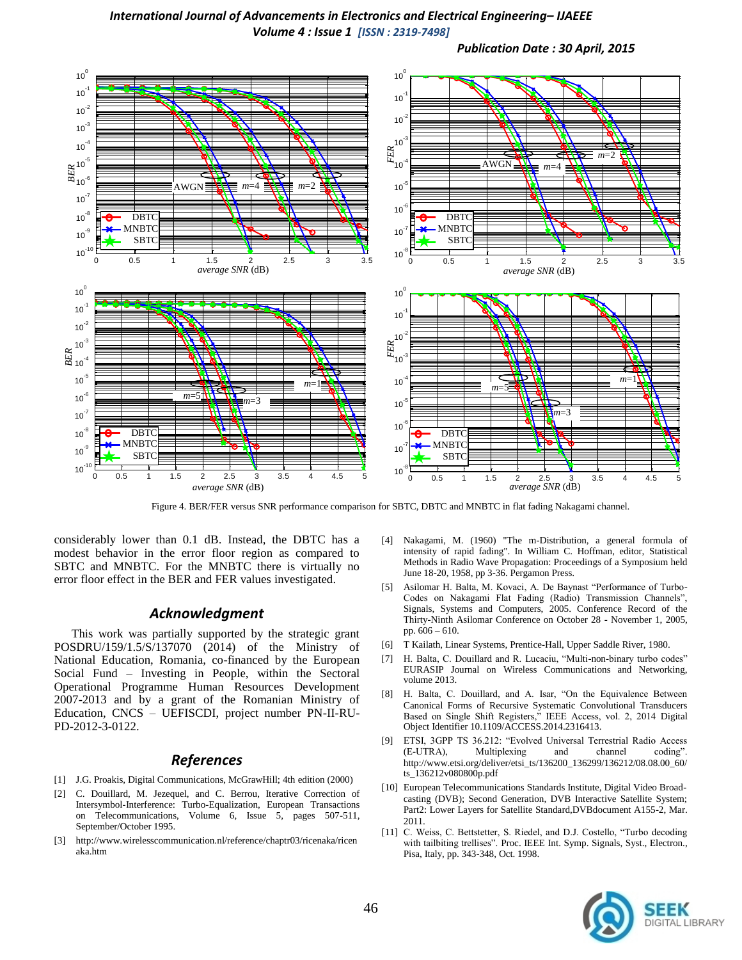

Figure 4. BER/FER versus SNR performance comparison for SBTC, DBTC and MNBTC in flat fading Nakagami channel.

considerably lower than 0.1 dB. Instead, the DBTC has a modest behavior in the error floor region as compared to SBTC and MNBTC. For the MNBTC there is virtually no error floor effect in the BER and FER values investigated.

### *Acknowledgment*

This work was partially supported by the strategic grant POSDRU/159/1.5/S/137070 (2014) of the Ministry of National Education, Romania, co-financed by the European Social Fund – Investing in People, within the Sectoral Operational Programme Human Resources Development 2007-2013 and by a grant of the Romanian Ministry of Education, CNCS – UEFISCDI, project number PN-II-RU-PD-2012-3-0122.

### *References*

- [1] J.G. Proakis, Digital Communications, McGrawHill; 4th edition (2000)
- [2] C. Douillard, M. Jezequel, and C. Berrou, Iterative Correction of Intersymbol-Interference: Turbo-Equalization, European Transactions on Telecommunications, Volume 6, Issue 5, pages 507-511, September/October 1995.
- [3] http://www.wirelesscommunication.nl/reference/chaptr03/ricenaka/ricen aka.htm
- [4] Nakagami, M. (1960) "The m-Distribution, a general formula of intensity of rapid fading". In William C. Hoffman, editor, Statistical Methods in Radio Wave Propagation: Proceedings of a Symposium held June 18-20, 1958, pp 3-36. Pergamon Press.
- [5] Asilomar H. Balta, M. Kovaci, A. De Baynast "Performance of Turbo-Codes on Nakagami Flat Fading (Radio) Transmission Channels", Signals, Systems and Computers, 2005. Conference Record of the Thirty-Ninth Asilomar Conference on October 28 - November 1, 2005, pp. 606 – 610.
- [6] T Kailath, Linear Systems, Prentice-Hall, Upper Saddle River, 1980.
- [7] H. Balta, C. Douillard and R. Lucaciu, "Multi-non-binary turbo codes" EURASIP Journal on Wireless Communications and Networking, volume 2013.
- [8] H. Balta, C. Douillard, and A. Isar, "On the Equivalence Between Canonical Forms of Recursive Systematic Convolutional Transducers Based on Single Shift Registers," IEEE Access, vol. 2, 2014 Digital Object Identifier 10.1109/ACCESS.2014.2316413.
- [9] ETSI, 3GPP TS 36.212: "Evolved Universal Terrestrial Radio Access (E-UTRA), Multiplexing and channel coding". http://www.etsi.org/deliver/etsi\_ts/136200\_136299/136212/08.08.00\_60/ ts\_136212v080800p.pdf
- [10] European Telecommunications Standards Institute, Digital Video Broadcasting (DVB); Second Generation, DVB Interactive Satellite System; Part2: Lower Layers for Satellite Standard,DVBdocument A155-2, Mar. 2011.
- [11] C. Weiss, C. Bettstetter, S. Riedel, and D.J. Costello, "Turbo decoding with tailbiting trellises". Proc. IEEE Int. Symp. Signals, Syst., Electron., Pisa, Italy, pp. 343-348, Oct. 1998.